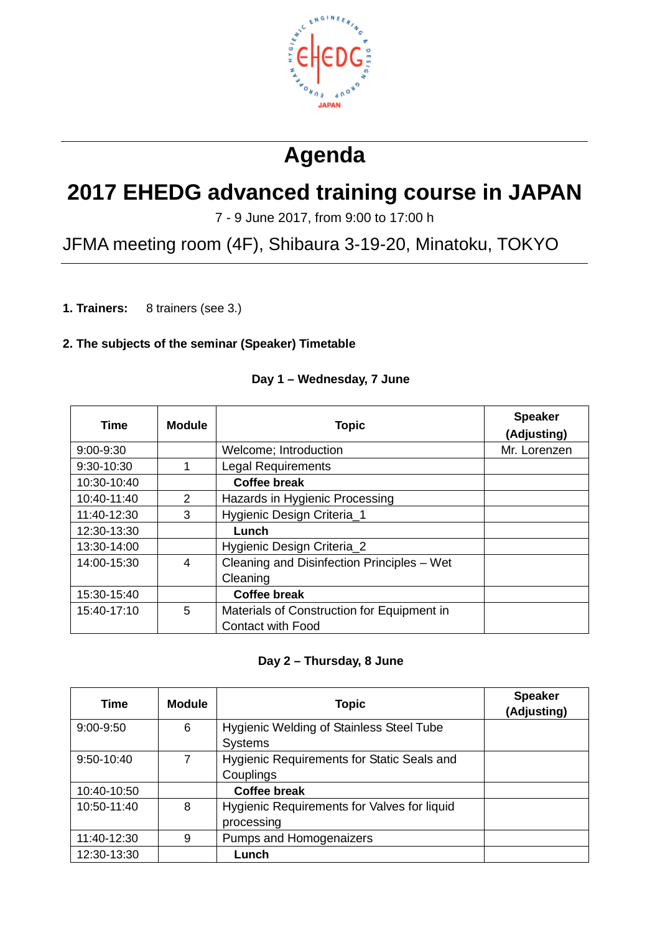

# **Agenda**

## **2017 EHEDG advanced training course in JAPAN**

7 - 9 June 2017, from 9:00 to 17:00 h

JFMA meeting room (4F), Shibaura 3-19-20, Minatoku, TOKYO

**1. Trainers:** 8 trainers (see 3.)

#### **2. The subjects of the seminar (Speaker) Timetable**

| Time          | <b>Module</b>  | <b>Topic</b>                               | <b>Speaker</b><br>(Adjusting) |
|---------------|----------------|--------------------------------------------|-------------------------------|
| $9:00 - 9:30$ |                | Welcome; Introduction                      | Mr. Lorenzen                  |
| 9:30-10:30    |                | <b>Legal Requirements</b>                  |                               |
| 10:30-10:40   |                | <b>Coffee break</b>                        |                               |
| 10:40-11:40   | $\overline{2}$ | Hazards in Hygienic Processing             |                               |
| 11:40-12:30   | 3              | Hygienic Design Criteria_1                 |                               |
| 12:30-13:30   |                | Lunch                                      |                               |
| 13:30-14:00   |                | Hygienic Design Criteria_2                 |                               |
| 14:00-15:30   | 4              | Cleaning and Disinfection Principles - Wet |                               |
|               |                | Cleaning                                   |                               |
| 15:30-15:40   |                | <b>Coffee break</b>                        |                               |
| 15:40-17:10   | 5              | Materials of Construction for Equipment in |                               |
|               |                | <b>Contact with Food</b>                   |                               |

#### **Day 1 – Wednesday, 7 June**

#### **Day 2 – Thursday, 8 June**

| Time          | <b>Module</b> | <b>Topic</b>                                               | <b>Speaker</b><br>(Adjusting) |
|---------------|---------------|------------------------------------------------------------|-------------------------------|
| $9:00 - 9:50$ | 6             | Hygienic Welding of Stainless Steel Tube<br><b>Systems</b> |                               |
| 9:50-10:40    | 7             | Hygienic Requirements for Static Seals and<br>Couplings    |                               |
| 10:40-10:50   |               | <b>Coffee break</b>                                        |                               |
| 10:50-11:40   | 8             | Hygienic Requirements for Valves for liquid<br>processing  |                               |
| 11:40-12:30   | 9             | Pumps and Homogenaizers                                    |                               |
| 12:30-13:30   |               | Lunch                                                      |                               |